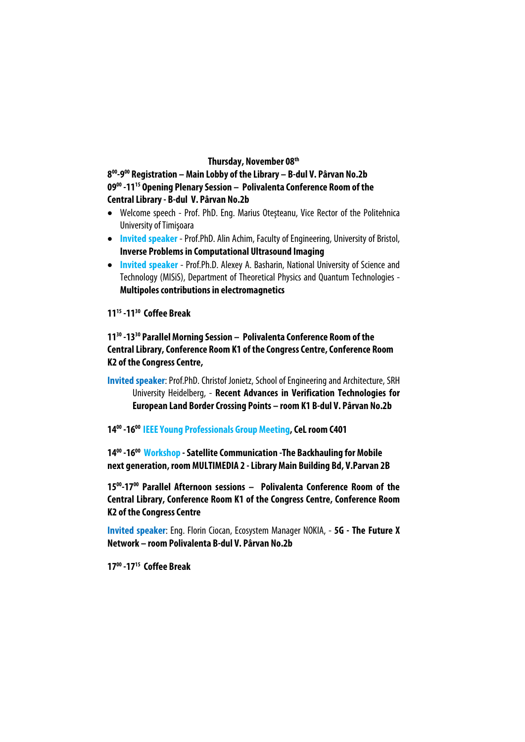#### **Thursday, November 08th**

**800-900 Registration – Main Lobby of the Library – B-dul V. Pârvan No.2b 0900 -1115 Opening Plenary Session – Polivalenta Conference Room of the Central Library - B-dul V. Pârvan No.2b** 

- Welcome speech Prof. PhD. Eng. Marius Oteşteanu, Vice Rector of the Politehnica University of Timişoara
- **Invited speaker** Prof.PhD. Alin Achim, Faculty of Engineering, University of Bristol, **Inverse Problems in Computational Ultrasound Imaging**
- **Invited speaker** Prof.Ph.D. Alexey A. Basharin, National University of Science and Technology (MISiS), Department of Theoretical Physics and Quantum Technologies - **Multipoles contributions in electromagnetics**

### **1115 -1130 Coffee Break**

**1130 -1330 Parallel Morning Session – Polivalenta Conference Room of the Central Library, Conference Room K1 of the Congress Centre, Conference Room K2 of the Congress Centre,** 

**Invited speaker**: Prof.PhD. Christof Jonietz, School of Engineering and Architecture, SRH University Heidelberg, - **Recent Advances in Verification Technologies for European Land Border Crossing Points – room K1 B-dul V. Pârvan No.2b**

#### **1400 -1600 IEEE Young Professionals Group Meeting, CeL room C401**

**1400 -1600 Workshop - Satellite Communication -The Backhauling for Mobile next generation, room MULTIMEDIA 2 - Library Main Building Bd, V.Parvan 2B** 

**1500-1700 Parallel Afternoon sessions – Polivalenta Conference Room of the Central Library, Conference Room K1 of the Congress Centre, Conference Room K2 of the Congress Centre** 

**Invited speaker**: Eng. Florin Ciocan, Ecosystem Manager NOKIA, - **5G - The Future X Network – room Polivalenta B-dul V. Pârvan No.2b**

**1700 -1715 Coffee Break**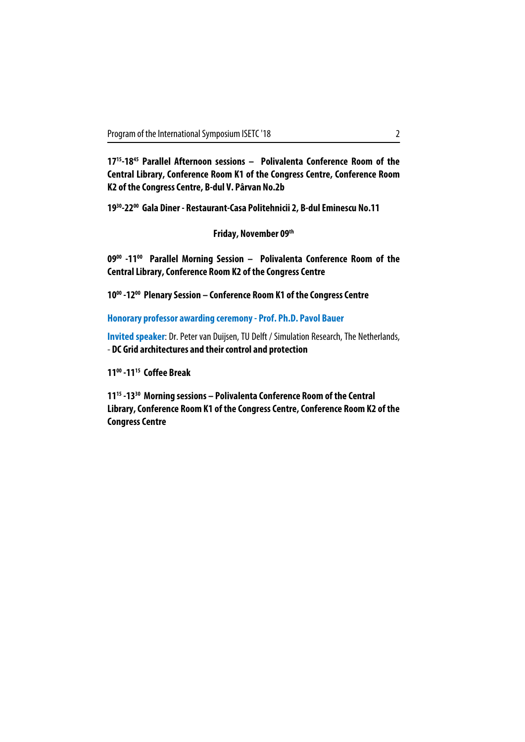**1715-1845 Parallel Afternoon sessions – Polivalenta Conference Room of the Central Library, Conference Room K1 of the Congress Centre, Conference Room K2 of the Congress Centre, B-dul V. Pârvan No.2b** 

**1930-2200 Gala Diner - Restaurant-Casa Politehnicii 2, B-dul Eminescu No.11** 

**Friday, November 09th**

**0900 -1100 Parallel Morning Session – Polivalenta Conference Room of the Central Library, Conference Room K2 of the Congress Centre** 

**1000 -1200 Plenary Session – Conference Room K1 of the Congress Centre** 

**Honorary professor awarding ceremony - Prof. Ph.D. Pavol Bauer** 

**Invited speaker**: Dr. Peter van Duijsen, TU Delft / Simulation Research, The Netherlands, - **DC Grid architectures and their control and protection**

**1100 -1115 Coffee Break** 

**1115 -1330 Morning sessions – Polivalenta Conference Room of the Central Library, Conference Room K1 of the Congress Centre, Conference Room K2 of the Congress Centre**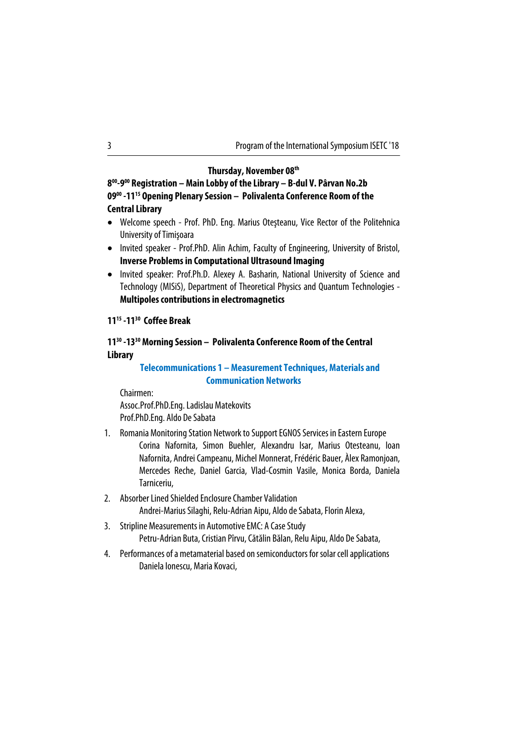| Program of the International Symposium ISETC '18 |  |
|--------------------------------------------------|--|
|                                                  |  |

#### **Thursday, November 08th**

**800-900 Registration – Main Lobby of the Library – B-dul V. Pârvan No.2b 0900 -1115 Opening Plenary Session – Polivalenta Conference Room of the Central Library** 

- Welcome speech Prof. PhD. Eng. Marius Oteşteanu, Vice Rector of the Politehnica University of Timişoara
- Invited speaker Prof.PhD. Alin Achim, Faculty of Engineering, University of Bristol, **Inverse Problems in Computational Ultrasound Imaging**
- Invited speaker: Prof.Ph.D. Alexey A. Basharin, National University of Science and Technology (MISiS), Department of Theoretical Physics and Quantum Technologies - **Multipoles contributions in electromagnetics**

## **1115 -1130 Coffee Break**

### **1130 -1330 Morning Session – Polivalenta Conference Room of the Central Library**

#### **Telecommunications 1 – Measurement Techniques, Materials and Communication Networks**

Chairmen: Assoc.Prof.PhD.Eng. Ladislau Matekovits Prof.PhD.Eng. Aldo De Sabata

- 1. Romania Monitoring Station Network to Support EGNOS Services in Eastern Europe
	- Corina Nafornita, Simon Buehler, Alexandru Isar, Marius Otesteanu, Ioan Nafornita, Andrei Campeanu, Michel Monnerat, Frédéric Bauer, Àlex Ramonjoan, Mercedes Reche, Daniel Garcia, Vlad-Cosmin Vasile, Monica Borda, Daniela Tarniceriu,
- 2. Absorber Lined Shielded Enclosure Chamber Validation Andrei-Marius Silaghi, Relu-Adrian Aipu, Aldo de Sabata, Florin Alexa,
- 3. Stripline Measurements in Automotive EMC: A Case Study Petru-Adrian Buta, Cristian Pîrvu, Cătălin Bălan, Relu Aipu, Aldo De Sabata,
- 4. Performances of a metamaterial based on semiconductors for solar cell applications Daniela Ionescu, Maria Kovaci,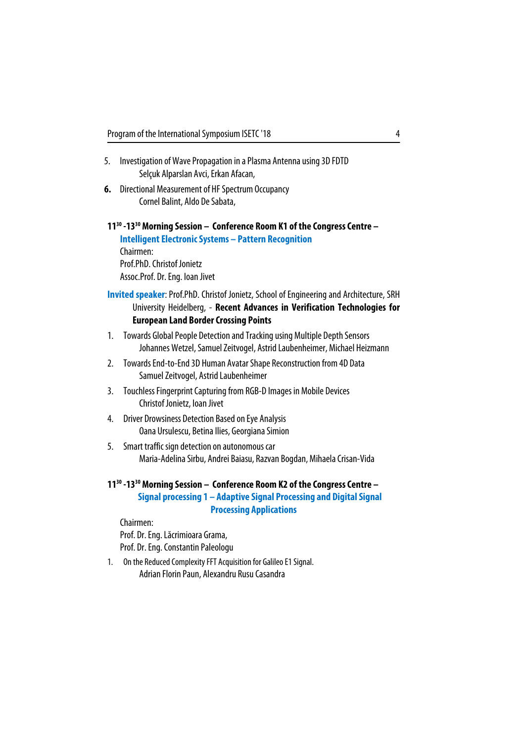- 5. Investigation of Wave Propagation in a Plasma Antenna using 3D FDTD Selçuk Alparslan Avci, Erkan Afacan,
- **6.** Directional Measurement of HF Spectrum Occupancy Cornel Balint, Aldo De Sabata,

## **1130 -1330 Morning Session – Conference Room K1 of the Congress Centre – Intelligent Electronic Systems – Pattern Recognition** Chairmen: Prof.PhD. Christof Jonietz Assoc.Prof. Dr. Eng. Ioan Jivet

- **Invited speaker**: Prof.PhD. Christof Jonietz, School of Engineering and Architecture, SRH University Heidelberg, - **Recent Advances in Verification Technologies for European Land Border Crossing Points**
- 1. Towards Global People Detection and Tracking using Multiple Depth Sensors Johannes Wetzel, Samuel Zeitvogel, Astrid Laubenheimer, Michael Heizmann
- 2. Towards End-to-End 3D Human Avatar Shape Reconstruction from 4D Data Samuel Zeitvogel, Astrid Laubenheimer
- 3. Touchless Fingerprint Capturing from RGB-D Images in Mobile Devices Christof Jonietz, Ioan Jivet
- 4. Driver Drowsiness Detection Based on Eye Analysis Oana Ursulescu, Betina Ilies, Georgiana Simion
- 5. Smart traffic sign detection on autonomous car Maria-Adelina Sirbu, Andrei Baiasu, Razvan Bogdan, Mihaela Crisan-Vida

**1130 -1330 Morning Session – Conference Room K2 of the Congress Centre –** 

**Signal processing 1 – Adaptive Signal Processing and Digital Signal Processing Applications**

Chairmen: Prof. Dr. Eng. Lăcrimioara Grama, Prof. Dr. Eng. Constantin Paleologu

1. On the Reduced Complexity FFT Acquisition for Galileo E1 Signal. Adrian Florin Paun, Alexandru Rusu Casandra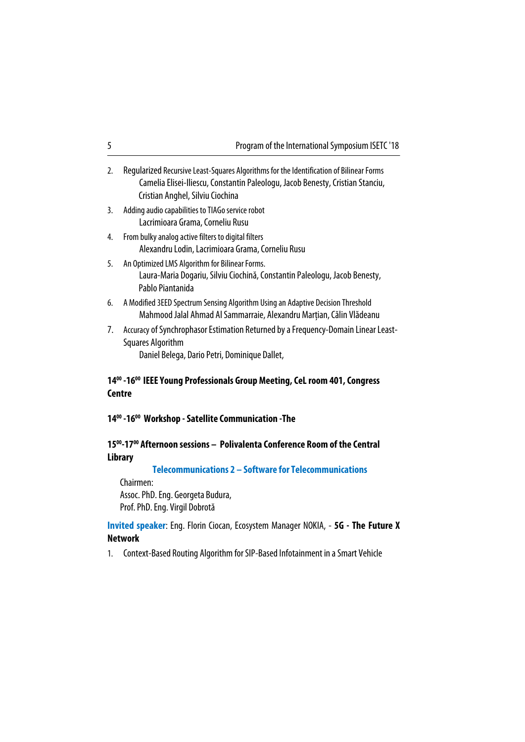| 5                                                                          | Program of the International Symposium ISETC '18                                                                                                                                                              |  |
|----------------------------------------------------------------------------|---------------------------------------------------------------------------------------------------------------------------------------------------------------------------------------------------------------|--|
| 2.                                                                         | Regularized Recursive Least-Squares Algorithms for the Identification of Bilinear Forms<br>Camelia Elisei-Iliescu, Constantin Paleologu, Jacob Benesty, Cristian Stanciu,<br>Cristian Anghel, Silviu Ciochina |  |
| 3.                                                                         | Adding audio capabilities to TIAGo service robot<br>Lacrimioara Grama, Corneliu Rusu                                                                                                                          |  |
| 4.                                                                         | From bulky analog active filters to digital filters<br>Alexandru Lodin, Lacrimioara Grama, Corneliu Rusu                                                                                                      |  |
| 5.                                                                         | An Optimized LMS Algorithm for Bilinear Forms.<br>Laura-Maria Dogariu, Silviu Ciochină, Constantin Paleologu, Jacob Benesty,<br>Pablo Piantanida                                                              |  |
| 6.                                                                         | A Modified 3EED Spectrum Sensing Algorithm Using an Adaptive Decision Threshold<br>Mahmood Jalal Ahmad Al Sammarraie, Alexandru Marțian, Călin Vlădeanu                                                       |  |
| 7.                                                                         | Accuracy of Synchrophasor Estimation Returned by a Frequency-Domain Linear Least-<br><b>Squares Algorithm</b><br>Daniel Belega, Dario Petri, Dominique Dallet,                                                |  |
|                                                                            | 14 <sup>00</sup> -16 <sup>00</sup> IEEE Young Professionals Group Meeting, CeL room 401, Congress<br><b>Centre</b>                                                                                            |  |
| 14 <sup>00</sup> -16 <sup>00</sup> Workshop - Satellite Communication -The |                                                                                                                                                                                                               |  |

## **1500-1700 Afternoon sessions – Polivalenta Conference Room of the Central Library**

**Telecommunications 2 – Software for Telecommunications**

Chairmen:

Assoc. PhD. Eng. Georgeta Budura, Prof. PhD. Eng. Virgil Dobrotă

**Invited speaker**: Eng. Florin Ciocan, Ecosystem Manager NOKIA, - **5G - The Future X Network** 

1. Context-Based Routing Algorithm for SIP-Based Infotainment in a Smart Vehicle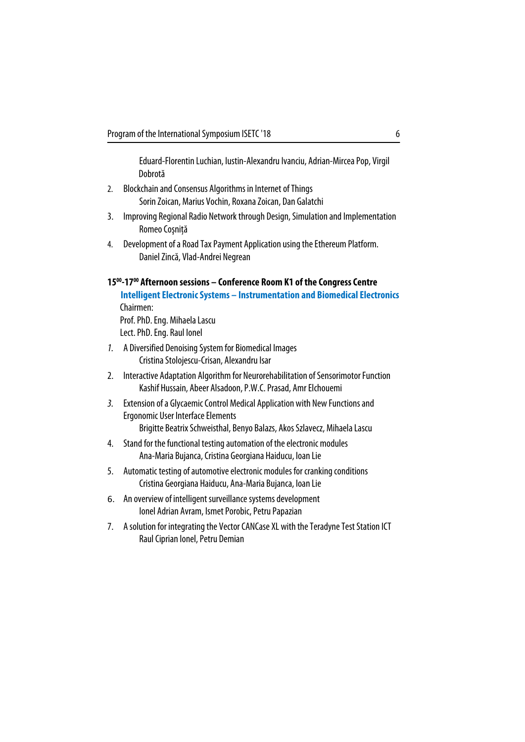Eduard-Florentin Luchian, Iustin-Alexandru Ivanciu, Adrian-Mircea Pop, Virgil Dobrotă

- 2. Blockchain and Consensus Algorithms in Internet of Things Sorin Zoican, Marius Vochin, Roxana Zoican, Dan Galatchi
- 3. Improving Regional Radio Network through Design, Simulation and Implementation Romeo Cosnită
- 4. Development of a Road Tax Payment Application using the Ethereum Platform. Daniel Zincă, Vlad-Andrei Negrean

#### **1500-1700 Afternoon sessions – Conference Room K1 of the Congress Centre**

**Intelligent Electronic Systems – Instrumentation and Biomedical Electronics**  Chairmen:

Prof. PhD. Eng. Mihaela Lascu Lect. PhD. Eng. Raul Ionel

- 1. A Diversified Denoising System for Biomedical Images Cristina Stolojescu-Crisan, Alexandru Isar
- 2. Interactive Adaptation Algorithm for Neurorehabilitation of Sensorimotor Function Kashif Hussain, Abeer Alsadoon, P.W.C. Prasad, Amr Elchouemi
- 3. Extension of a Glycaemic Control Medical Application with New Functions and Ergonomic User Interface Elements

Brigitte Beatrix Schweisthal, Benyo Balazs, Akos Szlavecz, Mihaela Lascu

- 4. Stand for the functional testing automation of the electronic modules Ana-Maria Bujanca, Cristina Georgiana Haiducu, Ioan Lie
- 5. Automatic testing of automotive electronic modules for cranking conditions Cristina Georgiana Haiducu, Ana-Maria Bujanca, Ioan Lie
- 6. An overview of intelligent surveillance systems development Ionel Adrian Avram, Ismet Porobic, Petru Papazian
- 7. A solution for integrating the Vector CANCase XL with the Teradyne Test Station ICT Raul Ciprian Ionel, Petru Demian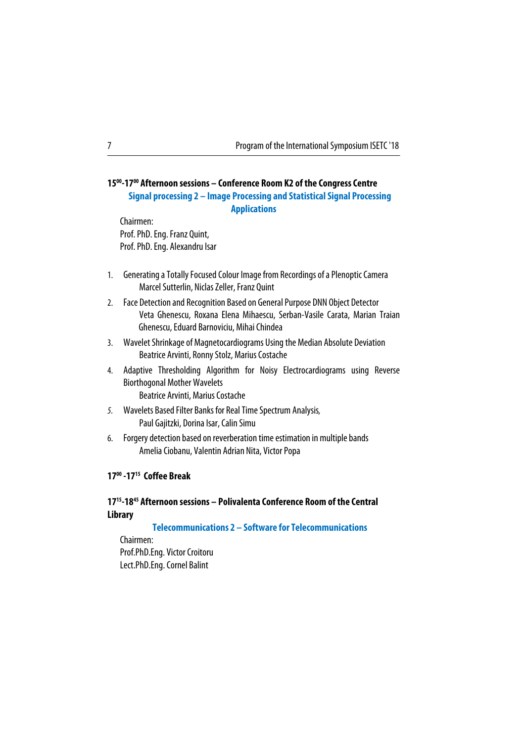#### 7 Program of the International Symposium ISETC '18

## **1500-1700 Afternoon sessions – Conference Room K2 of the Congress Centre Signal processing 2 – Image Processing and Statistical Signal Processing Applications**

Chairmen: Prof. PhD. Eng. Franz Quint, Prof. PhD. Eng. Alexandru Isar

- 1. Generating a Totally Focused Colour Image from Recordings of a Plenoptic Camera Marcel Sutterlin, Niclas Zeller, Franz Quint
- 2. Face Detection and Recognition Based on General Purpose DNN Object Detector Veta Ghenescu, Roxana Elena Mihaescu, Serban-Vasile Carata, Marian Traian Ghenescu, Eduard Barnoviciu, Mihai Chindea
- 3. Wavelet Shrinkage of Magnetocardiograms Using the Median Absolute Deviation Beatrice Arvinti, Ronny Stolz, Marius Costache
- 4. Adaptive Thresholding Algorithm for Noisy Electrocardiograms using Reverse Biorthogonal Mother Wavelets Beatrice Arvinti, Marius Costache
- 5. Wavelets Based Filter Banks for Real Time Spectrum Analysis, Paul Gajitzki, Dorina Isar, Calin Simu
- 6. Forgery detection based on reverberation time estimation in multiple bands Amelia Ciobanu, Valentin Adrian Nita, Victor Popa

#### **1700 -1715 Coffee Break**

## **1715-1845 Afternoon sessions – Polivalenta Conference Room of the Central Library**

**Telecommunications 2 – Software for Telecommunications** 

Chairmen: Prof.PhD.Eng. Victor Croitoru Lect.PhD.Eng. Cornel Balint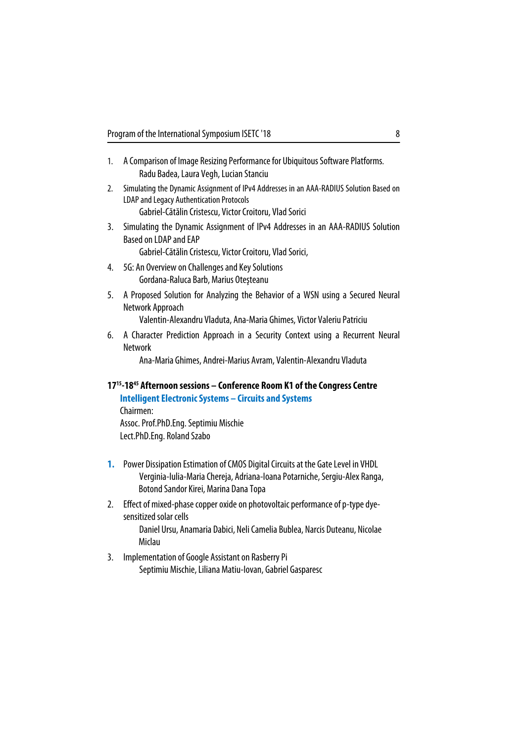- 1. A Comparison of Image Resizing Performance for Ubiquitous Software Platforms. Radu Badea, Laura Vegh, Lucian Stanciu
- 2. Simulating the Dynamic Assignment of IPv4 Addresses in an AAA-RADIUS Solution Based on LDAP and Legacy Authentication Protocols

Gabriel-Cătălin Cristescu, Victor Croitoru, Vlad Sorici

3. Simulating the Dynamic Assignment of IPv4 Addresses in an AAA-RADIUS Solution Based on LDAP and EAP

Gabriel-Cătălin Cristescu, Victor Croitoru, Vlad Sorici,

- 4. 5G: An Overview on Challenges and Key Solutions Gordana-Raluca Barb, Marius Oteşteanu
- 5. A Proposed Solution for Analyzing the Behavior of a WSN using a Secured Neural Network Approach

Valentin-Alexandru Vladuta, Ana-Maria Ghimes, Victor Valeriu Patriciu

6. A Character Prediction Approach in a Security Context using a Recurrent Neural Network

Ana-Maria Ghimes, Andrei-Marius Avram, Valentin-Alexandru Vladuta

## **1715-1845 Afternoon sessions – Conference Room K1 of the Congress Centre Intelligent Electronic Systems – Circuits and Systems**

Chairmen: Assoc. Prof.PhD.Eng. Septimiu Mischie Lect.PhD.Eng. Roland Szabo

- **1.** Power Dissipation Estimation of CMOS Digital Circuits at the Gate Level in VHDL Verginia-Iulia-Maria Chereja, Adriana-Ioana Potarniche, Sergiu-Alex Ranga, Botond Sandor Kirei, Marina Dana Topa
- 2. Effect of mixed-phase copper oxide on photovoltaic performance of p-type dyesensitized solar cells Daniel Ursu, Anamaria Dabici, Neli Camelia Bublea, Narcis Duteanu, Nicolae Miclau
- 3. Implementation of Google Assistant on Rasberry Pi Septimiu Mischie, Liliana Matiu-Iovan, Gabriel Gasparesc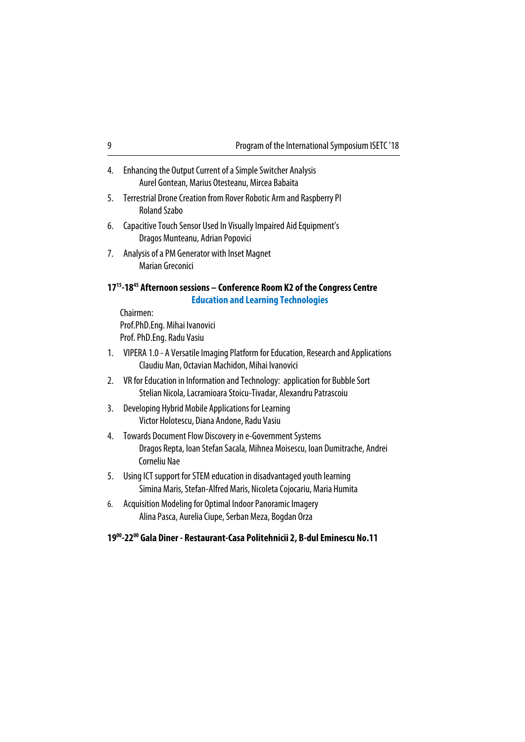| Program of the International Symposium ISETC '18 |  |
|--------------------------------------------------|--|
|                                                  |  |

- 4. Enhancing the Output Current of a Simple Switcher Analysis Aurel Gontean, Marius Otesteanu, Mircea Babaita
- 5. Terrestrial Drone Creation from Rover Robotic Arm and Raspberry PI Roland Szabo
- 6. Capacitive Touch Sensor Used In Visually Impaired Aid Equipment's Dragos Munteanu, Adrian Popovici
- 7. Analysis of a PM Generator with Inset Magnet Marian Greconici

## **1715-1845 Afternoon sessions – Conference Room K2 of the Congress Centre Education and Learning Technologies**

Chairmen: Prof.PhD.Eng. Mihai Ivanovici Prof. PhD.Eng. Radu Vasiu

- 1. VIPERA 1.0 A Versatile Imaging Platform for Education, Research and Applications Claudiu Man, Octavian Machidon, Mihai Ivanovici
- 2. VR for Education in Information and Technology: application for Bubble Sort Stelian Nicola, Lacramioara Stoicu-Tivadar, Alexandru Patrascoiu
- 3. Developing Hybrid Mobile Applications for Learning Victor Holotescu, Diana Andone, Radu Vasiu
- 4. Towards Document Flow Discovery in e-Government Systems Dragos Repta, Ioan Stefan Sacala, Mihnea Moisescu, Ioan Dumitrache, Andrei Corneliu Nae
- 5. Using ICT support for STEM education in disadvantaged youth learning Simina Maris, Stefan-Alfred Maris, Nicoleta Cojocariu, Maria Humita
- 6. Acquisition Modeling for Optimal Indoor Panoramic Imagery Alina Pasca, Aurelia Ciupe, Serban Meza, Bogdan Orza

#### **1900-2200 Gala Diner - Restaurant-Casa Politehnicii 2, B-dul Eminescu No.11**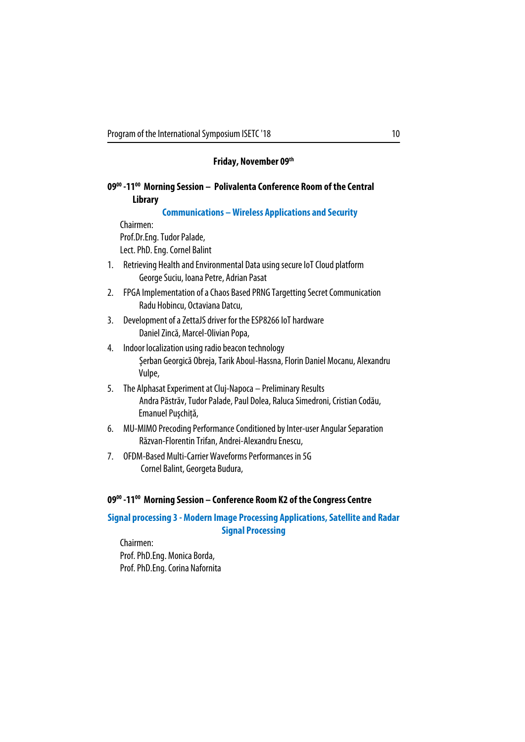## **Friday, November 09th**

## **0900 -1100 Morning Session – Polivalenta Conference Room of the Central Library**

**Communications – Wireless Applications and Security** 

Chairmen: Prof.Dr.Eng. Tudor Palade, Lect. PhD. Eng. Cornel Balint

- 1. Retrieving Health and Environmental Data using secure IoT Cloud platform George Suciu, Ioana Petre, Adrian Pasat
- 2. FPGA Implementation of a Chaos Based PRNG Targetting Secret Communication Radu Hobincu, Octaviana Datcu,
- 3. Development of a ZettaJS driver for the ESP8266 IoT hardware Daniel Zincă, Marcel-Olivian Popa,
- 4. Indoor localization using radio beacon technology Şerban Georgică Obreja, Tarik Aboul-Hassna, Florin Daniel Mocanu, Alexandru Vulpe,
- 5. The Alphasat Experiment at Cluj-Napoca Preliminary Results Andra Păstrăv, Tudor Palade, Paul Dolea, Raluca Simedroni, Cristian Codău, Emanuel Puşchiţă,
- 6. MU-MIMO Precoding Performance Conditioned by Inter-user Angular Separation Răzvan-Florentin Trifan, Andrei-Alexandru Enescu,
- 7. OFDM-Based Multi-Carrier Waveforms Performances in 5G Cornel Balint, Georgeta Budura,

### **0900 -1100 Morning Session – Conference Room K2 of the Congress Centre**

**Signal processing 3 - Modern Image Processing Applications, Satellite and Radar Signal Processing** 

Chairmen: Prof. PhD.Eng. Monica Borda, Prof. PhD.Eng. Corina Nafornita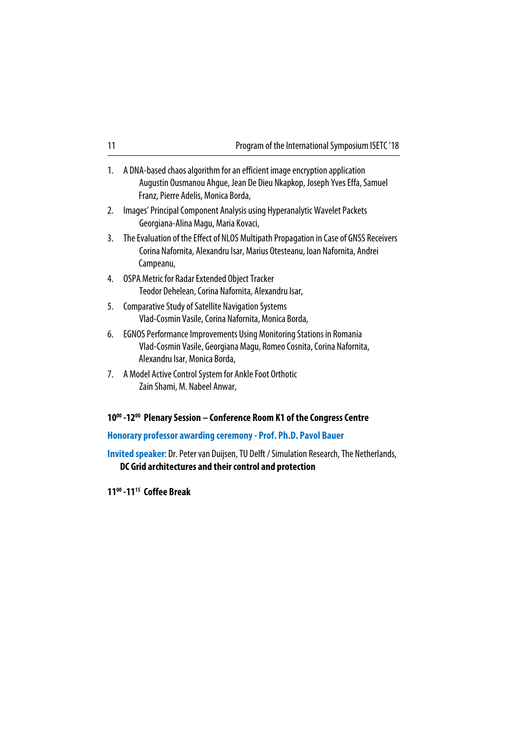| 11 | Program of the International Symposium ISETC '18                                                                                                                                            |
|----|---------------------------------------------------------------------------------------------------------------------------------------------------------------------------------------------|
| 1. | A DNA-based chaos algorithm for an efficient image encryption application<br>Augustin Ousmanou Ahgue, Jean De Dieu Nkapkop, Joseph Yves Effa, Samuel<br>Franz, Pierre Adelis, Monica Borda, |
| 2. | Images' Principal Component Analysis using Hyperanalytic Wavelet Packets<br>Georgiana-Alina Magu, Maria Kovaci,                                                                             |
| 3. | The Evaluation of the Effect of NLOS Multipath Propagation in Case of GNSS Receivers<br>Corina Nafornita, Alexandru Isar, Marius Otesteanu, Ioan Nafornita, Andrei<br>Campeanu,             |
| 4. | OSPA Metric for Radar Extended Object Tracker<br>Teodor Dehelean, Corina Nafornita, Alexandru Isar,                                                                                         |
| 5. | <b>Comparative Study of Satellite Navigation Systems</b><br>Vlad-Cosmin Vasile, Corina Nafornita, Monica Borda,                                                                             |
| 6. | <b>EGNOS Performance Improvements Using Monitoring Stations in Romania</b><br>Vlad-Cosmin Vasile, Georgiana Magu, Romeo Cosnita, Corina Nafornita,<br>Alexandru Isar, Monica Borda,         |
| 7. | A Model Active Control System for Ankle Foot Orthotic<br>Zain Shami, M. Nabeel Anwar,                                                                                                       |

# **1000 -1200 Plenary Session – Conference Room K1 of the Congress Centre**

# **Honorary professor awarding ceremony - Prof. Ph.D. Pavol Bauer**

**Invited speaker**: Dr. Peter van Duijsen, TU Delft / Simulation Research, The Netherlands, **DC Grid architectures and their control and protection**

**1100 -1115 Coffee Break**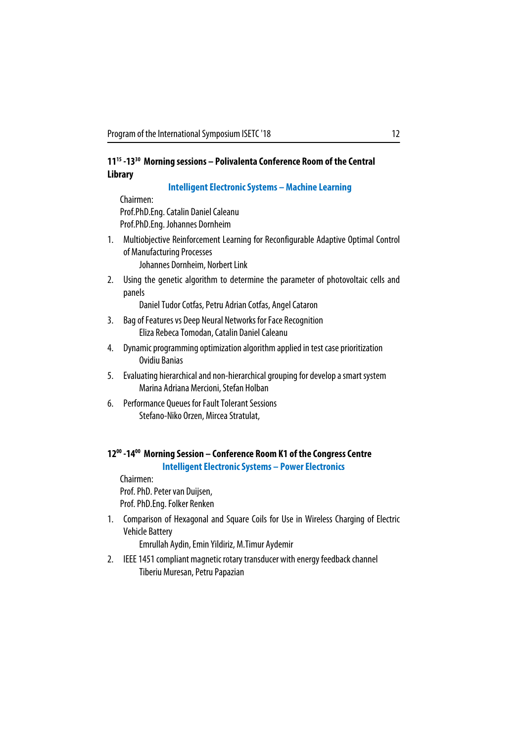## **1115 -1330 Morning sessions – Polivalenta Conference Room of the Central Library**

#### **Intelligent Electronic Systems – Machine Learning**

Chairmen: Prof.PhD.Eng. Catalin Daniel Caleanu Prof.PhD.Eng. Johannes Dornheim

- 1. Multiobjective Reinforcement Learning for Reconfigurable Adaptive Optimal Control of Manufacturing Processes Johannes Dornheim, Norbert Link
- 2. Using the genetic algorithm to determine the parameter of photovoltaic cells and panels

Daniel Tudor Cotfas, Petru Adrian Cotfas, Angel Cataron

- 3. Bag of Features vs Deep Neural Networks for Face Recognition Eliza Rebeca Tomodan, Catalin Daniel Caleanu
- 4. Dynamic programming optimization algorithm applied in test case prioritization Ovidiu Banias
- 5. Evaluating hierarchical and non-hierarchical grouping for develop a smart system Marina Adriana Mercioni, Stefan Holban
- 6. Performance Queues for Fault Tolerant Sessions Stefano-Niko Orzen, Mircea Stratulat,

# **1200 -1400 Morning Session – Conference Room K1 of the Congress Centre**

**Intelligent Electronic Systems – Power Electronics**

Chairmen: Prof. PhD. Peter van Duijsen, Prof. PhD.Eng. Folker Renken

1. Comparison of Hexagonal and Square Coils for Use in Wireless Charging of Electric Vehicle Battery

Emrullah Aydin, Emin Yildiriz, M.Timur Aydemir

2. IEEE 1451 compliant magnetic rotary transducer with energy feedback channel Tiberiu Muresan, Petru Papazian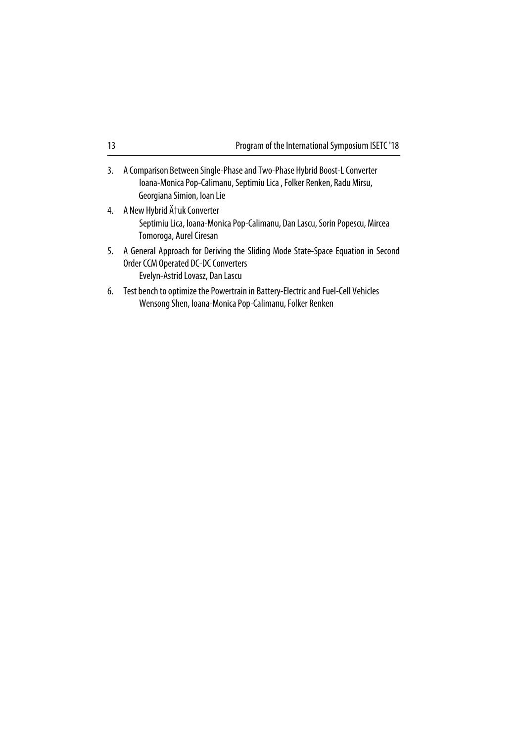| 13 | Program of the International Symposium ISETC '18                                                                                                                               |
|----|--------------------------------------------------------------------------------------------------------------------------------------------------------------------------------|
| 3. | A Comparison Between Single-Phase and Two-Phase Hybrid Boost-L Converter<br>Ioana-Monica Pop-Calimanu, Septimiu Lica, Folker Renken, Radu Mirsu,<br>Georgiana Simion, Ioan Lie |
| 4. | A New Hybrid Ćuk Converter<br>Septimiu Lica, Ioana-Monica Pop-Calimanu, Dan Lascu, Sorin Popescu, Mircea<br>Tomoroga, Aurel Ciresan                                            |
| 5. | A General Approach for Deriving the Sliding Mode State-Space Equation in Second<br><b>Order CCM Operated DC-DC Converters</b><br>Evelyn-Astrid Lovasz, Dan Lascu               |
| 6. | Test bench to optimize the Powertrain in Battery-Electric and Fuel-Cell Vehicles                                                                                               |

Wensong Shen, Ioana-Monica Pop-Calimanu, Folker Renken